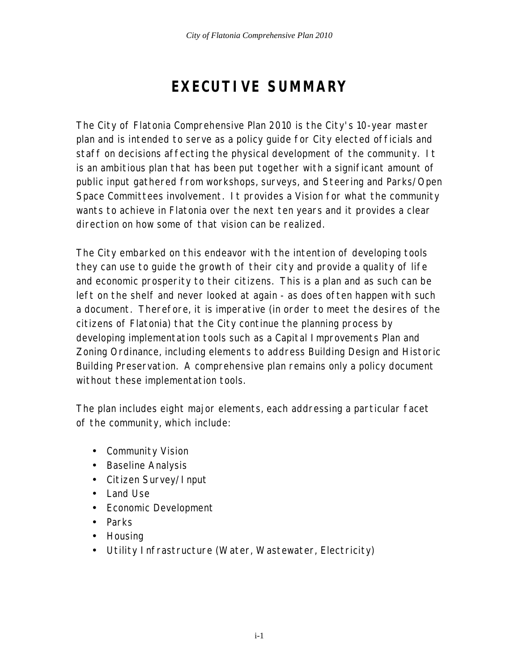## **EXECUTIVE SUMMARY**

The City of Flatonia Comprehensive Plan 2010 is the City's 10-year master plan and is intended to serve as a policy guide for City elected officials and staff on decisions affecting the physical development of the community. It is an ambitious plan that has been put together with a significant amount of public input gathered from workshops, surveys, and Steering and Parks/Open Space Committees involvement. It provides a Vision for what the community wants to achieve in Flatonia over the next ten years and it provides a clear direction on how some of that vision can be realized.

The City embarked on this endeavor with the intention of developing tools they can use to guide the growth of their city and provide a quality of life and economic prosperity to their citizens. This is a plan and as such can be left on the shelf and never looked at again - as does often happen with such a document. Therefore, it is imperative (in order to meet the desires of the citizens of Flatonia) that the City continue the planning process by developing implementation tools such as a Capital Improvements Plan and Zoning Ordinance, including elements to address Building Design and Historic Building Preservation. A comprehensive plan remains only a policy document without these implementation tools.

The plan includes eight major elements, each addressing a particular facet of the community, which include:

- Community Vision
- Baseline Analysis
- Citizen Survey/Input
- Land Use
- Economic Development
- Parks
- Housing
- Utility Infrastructure (Water, Wastewater, Electricity)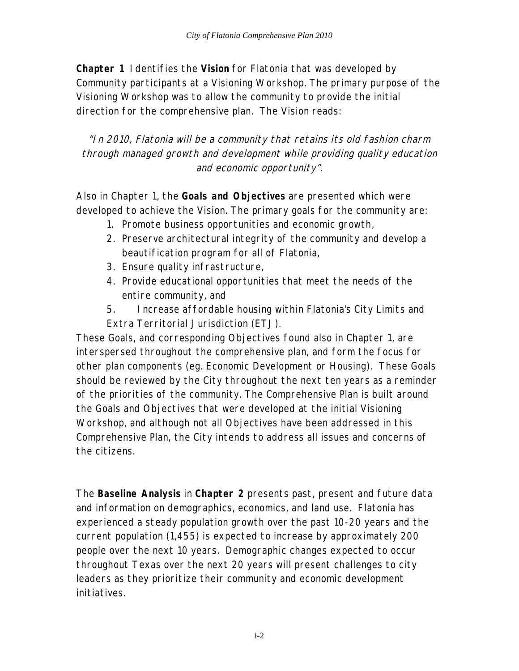**Chapter 1** Identifies the **Vision** for Flatonia that was developed by Community participants at a Visioning Workshop. The primary purpose of the Visioning Workshop was to allow the community to provide the initial direction for the comprehensive plan. The Vision reads:

"In 2010, Flatonia will be a community that retains its old fashion charm through managed growth and development while providing quality education and economic opportunity".

Also in Chapter 1, the **Goals and Objectives** are presented which were developed to achieve the Vision. The primary goals for the community are:

- 1. Promote business opportunities and economic growth,
- 2. Preserve architectural integrity of the community and develop a beautification program for all of Flatonia,
- 3. Ensure quality infrastructure,
- 4. Provide educational opportunities that meet the needs of the entire community, and
- 5. Increase affordable housing within Flatonia's City Limits and Extra Territorial Jurisdiction (ETJ).

These Goals, and corresponding Objectives found also in Chapter 1, are interspersed throughout the comprehensive plan, and form the focus for other plan components (eg. Economic Development or Housing). These Goals should be reviewed by the City throughout the next ten years as a reminder of the priorities of the community. The Comprehensive Plan is built around the Goals and Objectives that were developed at the initial Visioning Workshop, and although not all Objectives have been addressed in this Comprehensive Plan, the City intends to address all issues and concerns of the citizens.

The **Baseline Analysis** in **Chapter 2** presents past, present and future data and information on demographics, economics, and land use. Flatonia has experienced a steady population growth over the past 10-20 years and the current population (1,455) is expected to increase by approximately 200 people over the next 10 years. Demographic changes expected to occur throughout Texas over the next 20 years will present challenges to city leaders as they prioritize their community and economic development initiatives.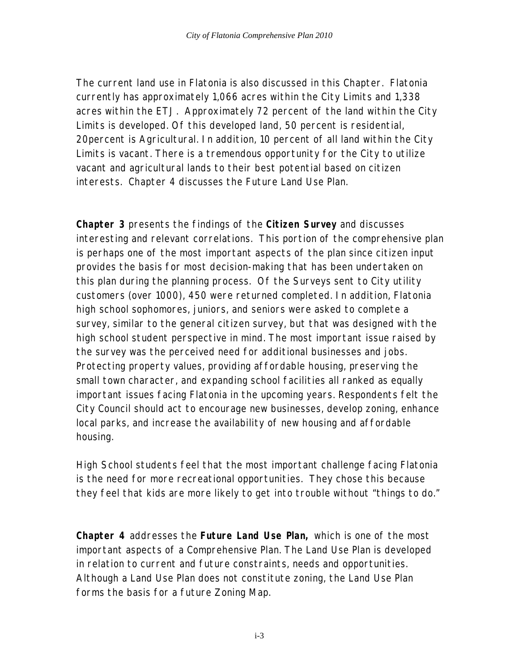The current land use in Flatonia is also discussed in this Chapter. Flatonia currently has approximately 1,066 acres within the City Limits and 1,338 acres within the ETJ. Approximately 72 percent of the land within the City Limits is developed. Of this developed land, 50 percent is residential, 20percent is Agricultural. In addition, 10 percent of all land within the City Limits is vacant. There is a tremendous opportunity for the City to utilize vacant and agricultural lands to their best potential based on citizen interests. Chapter 4 discusses the Future Land Use Plan.

**Chapter 3** presents the findings of the **Citizen Survey** and discusses interesting and relevant correlations. This portion of the comprehensive plan is perhaps one of the most important aspects of the plan since citizen input provides the basis for most decision-making that has been undertaken on this plan during the planning process. Of the Surveys sent to City utility customers (over 1000), 450 were returned completed. In addition, Flatonia high school sophomores, juniors, and seniors were asked to complete a survey, similar to the general citizen survey, but that was designed with the high school student perspective in mind. The most important issue raised by the survey was the perceived need for additional businesses and jobs. Protecting property values, providing affordable housing, preserving the small town character, and expanding school facilities all ranked as equally important issues facing Flatonia in the upcoming years. Respondents felt the City Council should act to encourage new businesses, develop zoning, enhance local parks, and increase the availability of new housing and affordable housing.

High School students feel that the most important challenge facing Flatonia is the need for more recreational opportunities. They chose this because they feel that kids are more likely to get into trouble without "things to do."

**Chapter 4** addresses the **Future Land Use Plan,** which is one of the most important aspects of a Comprehensive Plan. The Land Use Plan is developed in relation to current and future constraints, needs and opportunities. Although a Land Use Plan does not constitute zoning, the Land Use Plan forms the basis for a future Zoning Map.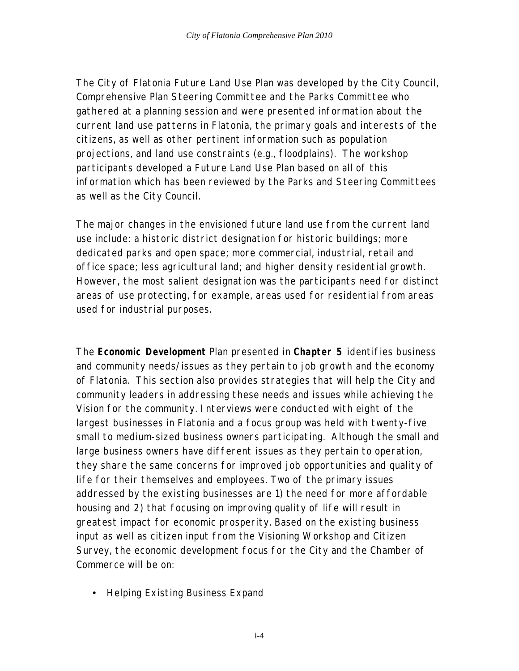The City of Flatonia Future Land Use Plan was developed by the City Council, Comprehensive Plan Steering Committee and the Parks Committee who gathered at a planning session and were presented information about the current land use patterns in Flatonia, the primary goals and interests of the citizens, as well as other pertinent information such as population projections, and land use constraints (e.g., floodplains). The workshop participants developed a Future Land Use Plan based on all of this information which has been reviewed by the Parks and Steering Committees as well as the City Council.

The major changes in the envisioned future land use from the current land use include: a historic district designation for historic buildings; more dedicated parks and open space; more commercial, industrial, retail and office space; less agricultural land; and higher density residential growth. However, the most salient designation was the participants need for distinct areas of use protecting, for example, areas used for residential from areas used for industrial purposes.

The **Economic Development** Plan presented in **Chapter 5** identifies business and community needs/issues as they pertain to job growth and the economy of Flatonia. This section also provides strategies that will help the City and community leaders in addressing these needs and issues while achieving the Vision for the community. Interviews were conducted with eight of the largest businesses in Flatonia and a focus group was held with twenty-five small to medium-sized business owners participating. Although the small and large business owners have different issues as they pertain to operation, they share the same concerns for improved job opportunities and quality of life for their themselves and employees. Two of the primary issues addressed by the existing businesses are 1) the need for more affordable housing and 2) that focusing on improving quality of life will result in greatest impact for economic prosperity. Based on the existing business input as well as citizen input from the Visioning Workshop and Citizen Survey, the economic development focus for the City and the Chamber of Commerce will be on:

• Helping Existing Business Expand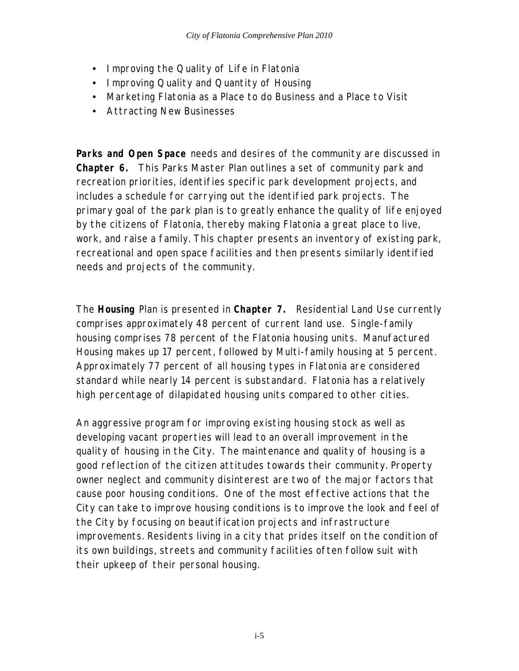- Improving the Quality of Life in Flatonia
- Improving Quality and Quantity of Housing
- Marketing Flatonia as a Place to do Business and a Place to Visit
- Attracting New Businesses

**Parks and Open Space** needs and desires of the community are discussed in **Chapter 6.** This Parks Master Plan outlines a set of community park and recreation priorities, identifies specific park development projects, and includes a schedule for carrying out the identified park projects. The primary goal of the park plan is to greatly enhance the quality of life enjoyed by the citizens of Flatonia, thereby making Flatonia a great place to live, work, and raise a family. This chapter presents an inventory of existing park, recreational and open space facilities and then presents similarly identified needs and projects of the community.

The **Housing** Plan is presented in **Chapter 7.** Residential Land Use currently comprises approximately 48 percent of current land use. Single-family housing comprises 78 percent of the Flatonia housing units. Manufactured Housing makes up 17 percent, followed by Multi-family housing at 5 percent. Approximately 77 percent of all housing types in Flatonia are considered standard while nearly 14 percent is substandard. Flatonia has a relatively high percentage of dilapidated housing units compared to other cities.

An aggressive program for improving existing housing stock as well as developing vacant properties will lead to an overall improvement in the quality of housing in the City. The maintenance and quality of housing is a good reflection of the citizen attitudes towards their community. Property owner neglect and community disinterest are two of the major factors that cause poor housing conditions. One of the most effective actions that the City can take to improve housing conditions is to improve the look and feel of the City by focusing on beautification projects and infrastructure improvements. Residents living in a city that prides itself on the condition of its own buildings, streets and community facilities often follow suit with their upkeep of their personal housing.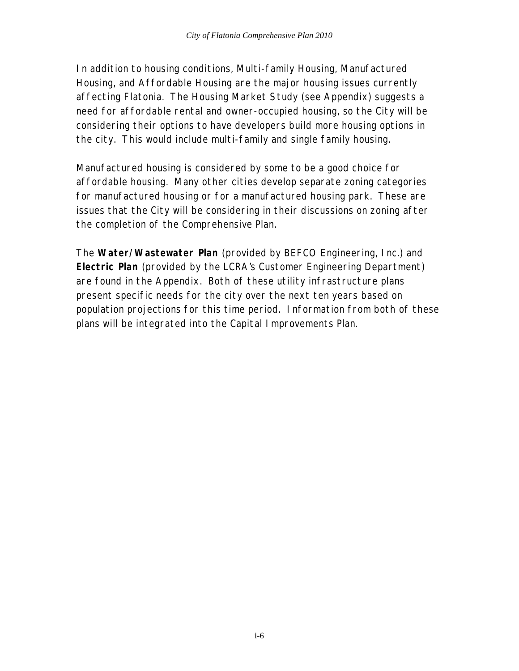In addition to housing conditions, Multi-family Housing, Manufactured Housing, and Affordable Housing are the major housing issues currently affecting Flatonia. The Housing Market Study (see Appendix) suggests a need for affordable rental and owner-occupied housing, so the City will be considering their options to have developers build more housing options in the city. This would include multi-family and single family housing.

Manufactured housing is considered by some to be a good choice for affordable housing. Many other cities develop separate zoning categories for manufactured housing or for a manufactured housing park. These are issues that the City will be considering in their discussions on zoning after the completion of the Comprehensive Plan.

The **Water/Wastewater Plan** (provided by BEFCO Engineering, Inc.) and **Electric Plan** (provided by the LCRA's Customer Engineering Department) are found in the Appendix. Both of these utility infrastructure plans present specific needs for the city over the next ten years based on population projections for this time period. Information from both of these plans will be integrated into the Capital Improvements Plan.